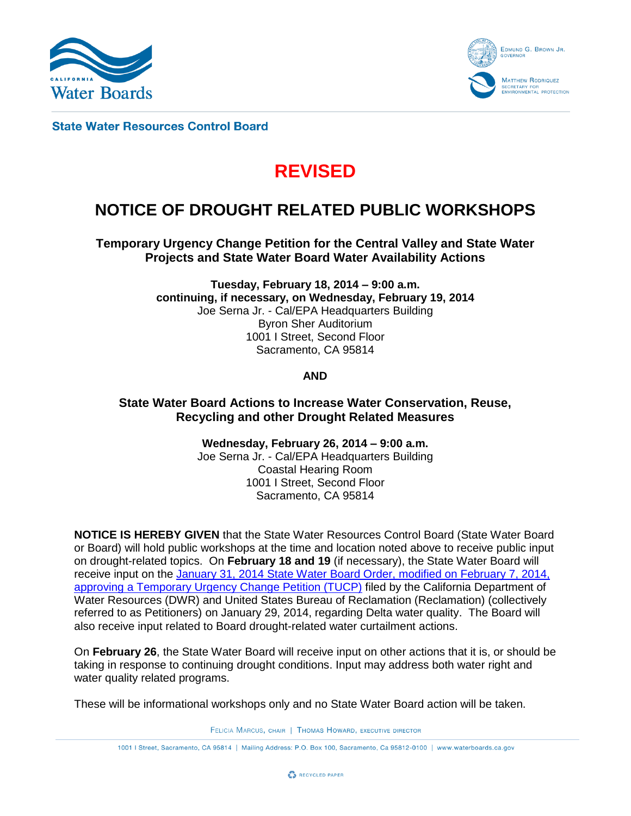



**State Water Resources Control Board** 

# **REVISED**

# **NOTICE OF DROUGHT RELATED PUBLIC WORKSHOPS**

**Temporary Urgency Change Petition for the Central Valley and State Water Projects and State Water Board Water Availability Actions**

> **Tuesday, February 18, 2014 – 9:00 a.m. continuing, if necessary, on Wednesday, February 19, 2014** Joe Serna Jr. - Cal/EPA Headquarters Building Byron Sher Auditorium 1001 I Street, Second Floor Sacramento, CA 95814

> > **AND**

**State Water Board Actions to Increase Water Conservation, Reuse, Recycling and other Drought Related Measures**

> **Wednesday, February 26, 2014 – 9:00 a.m.** Joe Serna Jr. - Cal/EPA Headquarters Building Coastal Hearing Room 1001 I Street, Second Floor Sacramento, CA 95814

**NOTICE IS HEREBY GIVEN** that the State Water Resources Control Board (State Water Board or Board) will hold public workshops at the time and location noted above to receive public input on drought-related topics. On **February 18 and 19** (if necessary), the State Water Board will receive input on the [January 31, 2014 State Water Board Order, modified on February 7, 2014,](http://www.waterboards.ca.gov/waterrights/water_issues/programs/drought/tucp.shtml) [approving a Temporary Urgency Change Petition \(TUCP\)](http://www.waterboards.ca.gov/waterrights/water_issues/programs/drought/tucp.shtml) filed by the California Department of Water Resources (DWR) and United States Bureau of Reclamation (Reclamation) (collectively referred to as Petitioners) on January 29, 2014, regarding Delta water quality. The Board will also receive input related to Board drought-related water curtailment actions.

On **February 26**, the State Water Board will receive input on other actions that it is, or should be taking in response to continuing drought conditions. Input may address both water right and water quality related programs.

These will be informational workshops only and no State Water Board action will be taken.

FELICIA MARCUS, CHAIR | THOMAS HOWARD, EXECUTIVE DIRECTOR

1001 | Street, Sacramento, CA 95814 | Mailing Address: P.O. Box 100, Sacramento, Ca 95812-0100 | www.waterboards.ca.gov

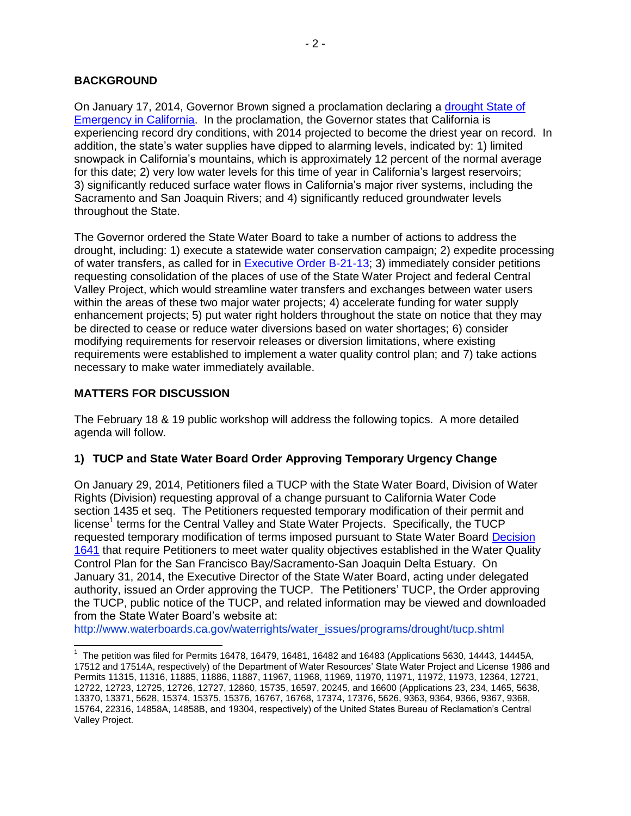## **BACKGROUND**

On January 17, 2014, Governor Brown signed a proclamation declaring a [drought State of](http://gov.ca.gov/news.php?id=18368)  [Emergency in California.](http://gov.ca.gov/news.php?id=18368) In the proclamation, the Governor states that California is experiencing record dry conditions, with 2014 projected to become the driest year on record. In addition, the state's water supplies have dipped to alarming levels, indicated by: 1) limited snowpack in California's mountains, which is approximately 12 percent of the normal average for this date; 2) very low water levels for this time of year in California's largest reservoirs; 3) significantly reduced surface water flows in California's major river systems, including the Sacramento and San Joaquin Rivers; and 4) significantly reduced groundwater levels throughout the State.

The Governor ordered the State Water Board to take a number of actions to address the drought, including: 1) execute a statewide water conservation campaign; 2) expedite processing of water transfers, as called for in [Executive Order B-21-13;](http://gov.ca.gov/news.php?id=18048) 3) immediately consider petitions requesting consolidation of the places of use of the State Water Project and federal Central Valley Project, which would streamline water transfers and exchanges between water users within the areas of these two major water projects; 4) accelerate funding for water supply enhancement projects; 5) put water right holders throughout the state on notice that they may be directed to cease or reduce water diversions based on water shortages; 6) consider modifying requirements for reservoir releases or diversion limitations, where existing requirements were established to implement a water quality control plan; and 7) take actions necessary to make water immediately available.

## **MATTERS FOR DISCUSSION**

The February 18 & 19 public workshop will address the following topics. A more detailed agenda will follow.

# **1) TUCP and State Water Board Order Approving Temporary Urgency Change**

On January 29, 2014, Petitioners filed a TUCP with the State Water Board, Division of Water Rights (Division) requesting approval of a change pursuant to California Water Code section 1435 et seq. The Petitioners requested temporary modification of their permit and license<sup>1</sup> terms for the Central Valley and State Water Projects. Specifically, the TUCP requested temporary modification of terms imposed pursuant to State Water Board [Decision](http://www.waterboards.ca.gov/waterrights/board_decisions/adopted_orders/decisions/d1600_d1649/wrd1641_1999dec29.pdf)  [1641](http://www.waterboards.ca.gov/waterrights/board_decisions/adopted_orders/decisions/d1600_d1649/wrd1641_1999dec29.pdf) that require Petitioners to meet water quality objectives established in the Water Quality Control Plan for the San Francisco Bay/Sacramento-San Joaquin Delta Estuary. On January 31, 2014, the Executive Director of the State Water Board, acting under delegated authority, issued an Order approving the TUCP. The Petitioners' TUCP, the Order approving the TUCP, public notice of the TUCP, and related information may be viewed and downloaded from the State Water Board's website at:

[http://www.waterboards.ca.gov/waterrights/water\\_issues/programs/drought/tucp.shtml](http://www.waterboards.ca.gov/waterrights/water_issues/programs/drought/tucp.shtml)

 <sup>1</sup> The petition was filed for Permits 16478, 16479, 16481, 16482 and 16483 (Applications 5630, 14443, 14445A, 17512 and 17514A, respectively) of the Department of Water Resources' State Water Project and License 1986 and Permits 11315, 11316, 11885, 11886, 11887, 11967, 11968, 11969, 11970, 11971, 11972, 11973, 12364, 12721, 12722, 12723, 12725, 12726, 12727, 12860, 15735, 16597, 20245, and 16600 (Applications 23, 234, 1465, 5638, 13370, 13371, 5628, 15374, 15375, 15376, 16767, 16768, 17374, 17376, 5626, 9363, 9364, 9366, 9367, 9368, 15764, 22316, 14858A, 14858B, and 19304, respectively) of the United States Bureau of Reclamation's Central Valley Project.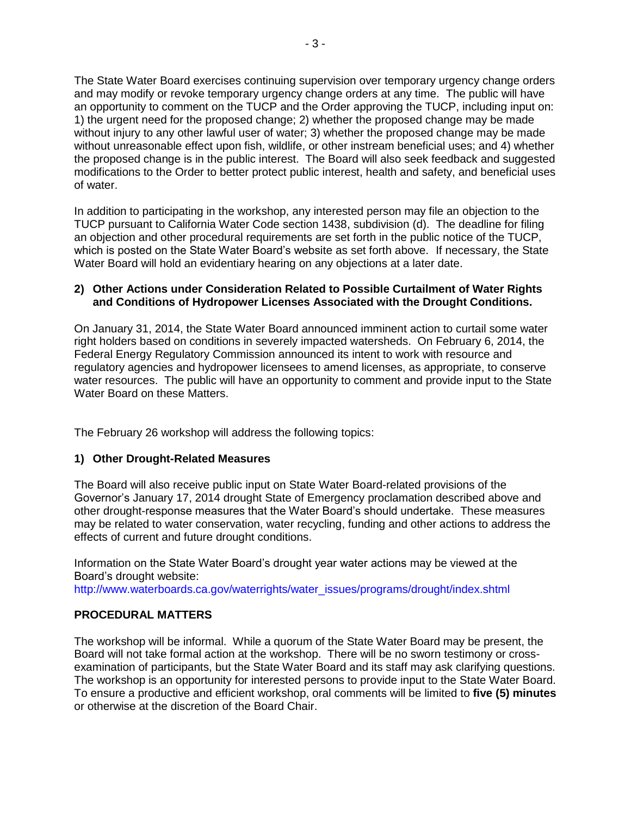The State Water Board exercises continuing supervision over temporary urgency change orders and may modify or revoke temporary urgency change orders at any time. The public will have an opportunity to comment on the TUCP and the Order approving the TUCP, including input on: 1) the urgent need for the proposed change; 2) whether the proposed change may be made without injury to any other lawful user of water; 3) whether the proposed change may be made without unreasonable effect upon fish, wildlife, or other instream beneficial uses; and 4) whether the proposed change is in the public interest. The Board will also seek feedback and suggested modifications to the Order to better protect public interest, health and safety, and beneficial uses of water.

In addition to participating in the workshop, any interested person may file an objection to the TUCP pursuant to California Water Code section 1438, subdivision (d). The deadline for filing an objection and other procedural requirements are set forth in the public notice of the TUCP, which is posted on the State Water Board's website as set forth above. If necessary, the State Water Board will hold an evidentiary hearing on any objections at a later date.

#### **2) Other Actions under Consideration Related to Possible Curtailment of Water Rights and Conditions of Hydropower Licenses Associated with the Drought Conditions.**

On January 31, 2014, the State Water Board announced imminent action to curtail some water right holders based on conditions in severely impacted watersheds. On February 6, 2014, the Federal Energy Regulatory Commission announced its intent to work with resource and regulatory agencies and hydropower licensees to amend licenses, as appropriate, to conserve water resources. The public will have an opportunity to comment and provide input to the State Water Board on these Matters.

The February 26 workshop will address the following topics:

#### **1) Other Drought-Related Measures**

The Board will also receive public input on State Water Board-related provisions of the Governor's January 17, 2014 drought State of Emergency proclamation described above and other drought-response measures that the Water Board's should undertake. These measures may be related to water conservation, water recycling, funding and other actions to address the effects of current and future drought conditions.

Information on the State Water Board's drought year water actions may be viewed at the Board's drought website:

[http://www.waterboards.ca.gov/waterrights/water\\_issues/programs/drought/index.shtml](http://www.waterboards.ca.gov/waterrights/water_issues/programs/drought/index.shtml)

#### **PROCEDURAL MATTERS**

The workshop will be informal. While a quorum of the State Water Board may be present, the Board will not take formal action at the workshop. There will be no sworn testimony or crossexamination of participants, but the State Water Board and its staff may ask clarifying questions. The workshop is an opportunity for interested persons to provide input to the State Water Board. To ensure a productive and efficient workshop, oral comments will be limited to **five (5) minutes** or otherwise at the discretion of the Board Chair.